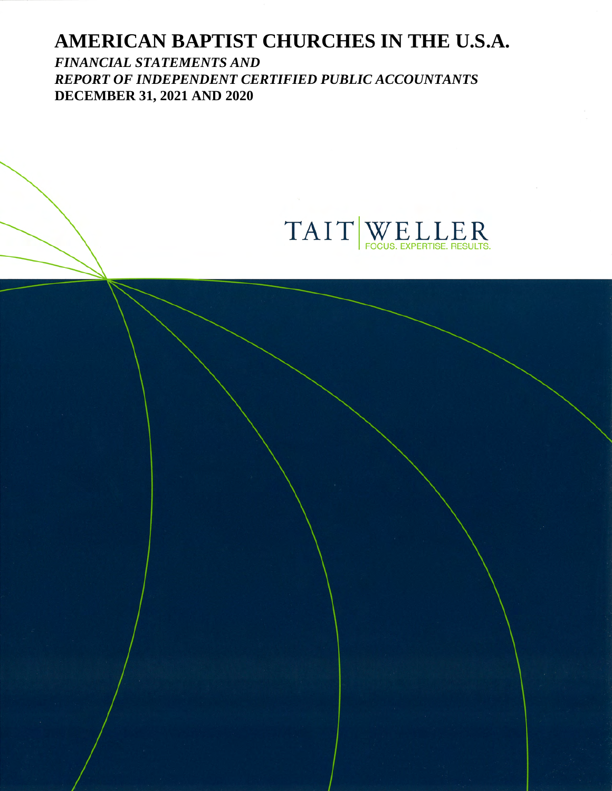**FINANCIAL STATEMENTS AND REPORT OF INDEPENDENT CERTIFIED PUBLIC ACCOUNTANTS DECEMBER 31, 2021 AND 2020** 

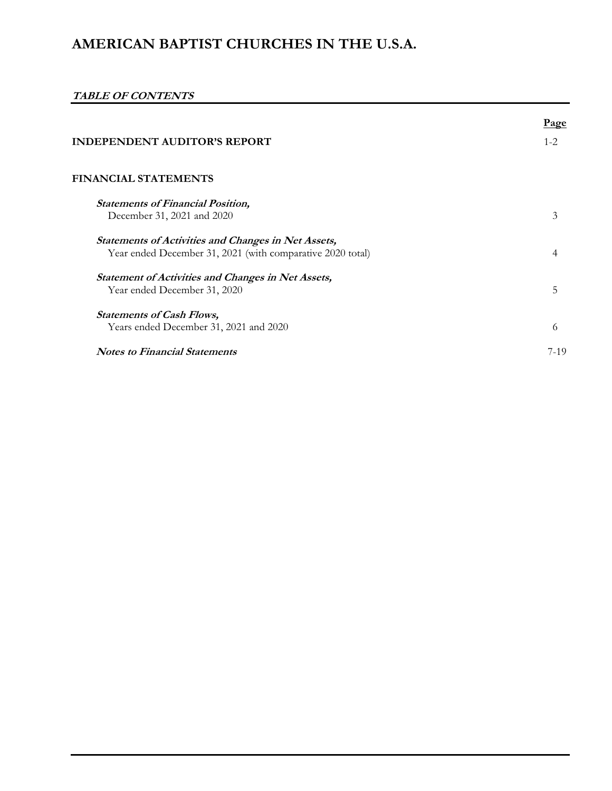# **TABLE OF CONTENTS**

|                                                            | <u>Page</u> |
|------------------------------------------------------------|-------------|
| <b>INDEPENDENT AUDITOR'S REPORT</b>                        | $1 - 2$     |
| <b>FINANCIAL STATEMENTS</b>                                |             |
| <b>Statements of Financial Position,</b>                   |             |
| December 31, 2021 and 2020                                 | 3           |
| <b>Statements of Activities and Changes in Net Assets,</b> |             |
| Year ended December 31, 2021 (with comparative 2020 total) | 4           |
| <b>Statement of Activities and Changes in Net Assets,</b>  |             |
| Year ended December 31, 2020                               | 5           |
| <b>Statements of Cash Flows,</b>                           |             |
| Years ended December 31, 2021 and 2020                     | 6           |
| <b>Notes to Financial Statements</b>                       | 7-19        |
|                                                            |             |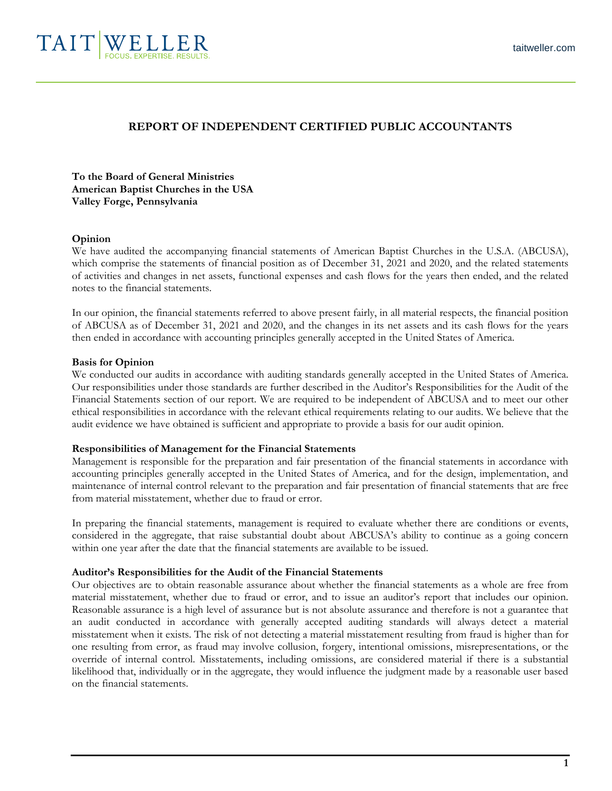

# **REPORT OF INDEPENDENT CERTIFIED PUBLIC ACCOUNTANTS**

**To the Board of General Ministries American Baptist Churches in the USA Valley Forge, Pennsylvania** 

#### **Opinion**

We have audited the accompanying financial statements of American Baptist Churches in the U.S.A. (ABCUSA), which comprise the statements of financial position as of December 31, 2021 and 2020, and the related statements of activities and changes in net assets, functional expenses and cash flows for the years then ended, and the related notes to the financial statements.

In our opinion, the financial statements referred to above present fairly, in all material respects, the financial position of ABCUSA as of December 31, 2021 and 2020, and the changes in its net assets and its cash flows for the years then ended in accordance with accounting principles generally accepted in the United States of America.

#### **Basis for Opinion**

We conducted our audits in accordance with auditing standards generally accepted in the United States of America. Our responsibilities under those standards are further described in the Auditor's Responsibilities for the Audit of the Financial Statements section of our report. We are required to be independent of ABCUSA and to meet our other ethical responsibilities in accordance with the relevant ethical requirements relating to our audits. We believe that the audit evidence we have obtained is sufficient and appropriate to provide a basis for our audit opinion.

#### **Responsibilities of Management for the Financial Statements**

Management is responsible for the preparation and fair presentation of the financial statements in accordance with accounting principles generally accepted in the United States of America, and for the design, implementation, and maintenance of internal control relevant to the preparation and fair presentation of financial statements that are free from material misstatement, whether due to fraud or error.

In preparing the financial statements, management is required to evaluate whether there are conditions or events, considered in the aggregate, that raise substantial doubt about ABCUSA's ability to continue as a going concern within one year after the date that the financial statements are available to be issued.

#### **Auditor's Responsibilities for the Audit of the Financial Statements**

Our objectives are to obtain reasonable assurance about whether the financial statements as a whole are free from material misstatement, whether due to fraud or error, and to issue an auditor's report that includes our opinion. Reasonable assurance is a high level of assurance but is not absolute assurance and therefore is not a guarantee that an audit conducted in accordance with generally accepted auditing standards will always detect a material misstatement when it exists. The risk of not detecting a material misstatement resulting from fraud is higher than for one resulting from error, as fraud may involve collusion, forgery, intentional omissions, misrepresentations, or the override of internal control. Misstatements, including omissions, are considered material if there is a substantial likelihood that, individually or in the aggregate, they would influence the judgment made by a reasonable user based on the financial statements.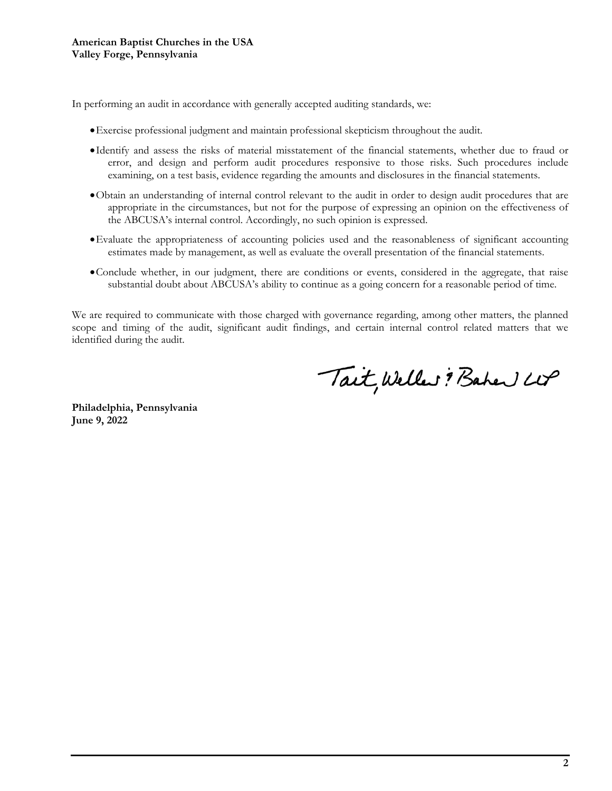In performing an audit in accordance with generally accepted auditing standards, we:

- Exercise professional judgment and maintain professional skepticism throughout the audit.
- Identify and assess the risks of material misstatement of the financial statements, whether due to fraud or error, and design and perform audit procedures responsive to those risks. Such procedures include examining, on a test basis, evidence regarding the amounts and disclosures in the financial statements.
- Obtain an understanding of internal control relevant to the audit in order to design audit procedures that are appropriate in the circumstances, but not for the purpose of expressing an opinion on the effectiveness of the ABCUSA's internal control. Accordingly, no such opinion is expressed.
- Evaluate the appropriateness of accounting policies used and the reasonableness of significant accounting estimates made by management, as well as evaluate the overall presentation of the financial statements.
- Conclude whether, in our judgment, there are conditions or events, considered in the aggregate, that raise substantial doubt about ABCUSA's ability to continue as a going concern for a reasonable period of time.

We are required to communicate with those charged with governance regarding, among other matters, the planned scope and timing of the audit, significant audit findings, and certain internal control related matters that we identified during the audit.

Tait, Weller ? Baher LUP

**Philadelphia, Pennsylvania June 9, 2022**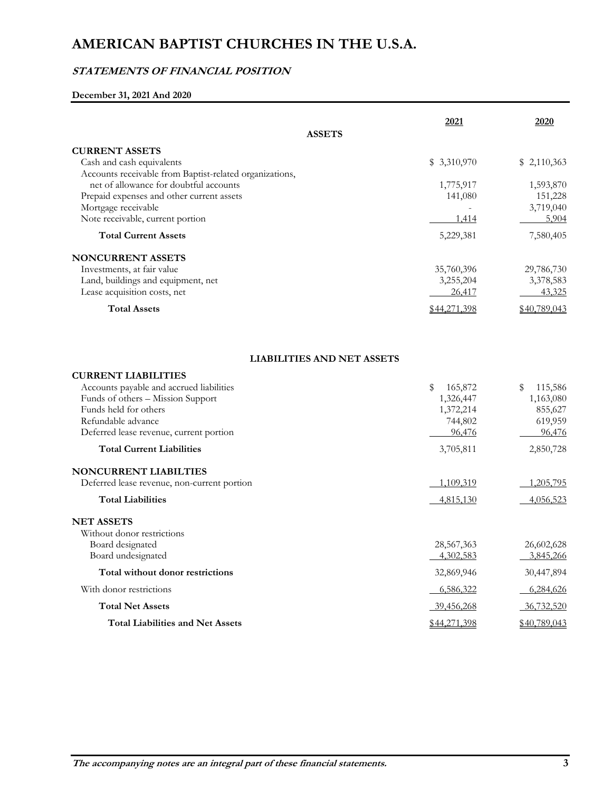# **STATEMENTS OF FINANCIAL POSITION**

### **December 31, 2021 And 2020**

|                                                         | 2021         | 2020         |
|---------------------------------------------------------|--------------|--------------|
| <b>ASSETS</b>                                           |              |              |
| <b>CURRENT ASSETS</b>                                   |              |              |
| Cash and cash equivalents                               | \$3,310,970  | \$2,110,363  |
| Accounts receivable from Baptist-related organizations, |              |              |
| net of allowance for doubtful accounts                  | 1,775,917    | 1,593,870    |
| Prepaid expenses and other current assets               | 141,080      | 151,228      |
| Mortgage receivable                                     |              | 3,719,040    |
| Note receivable, current portion                        | 1,414        | 5,904        |
| <b>Total Current Assets</b>                             | 5,229,381    | 7,580,405    |
| <b>NONCURRENT ASSETS</b>                                |              |              |
| Investments, at fair value                              | 35,760,396   | 29,786,730   |
| Land, buildings and equipment, net                      | 3,255,204    | 3,378,583    |
| Lease acquisition costs, net                            | 26,417       | 43,325       |
| <b>Total Assets</b>                                     | \$44,271,398 | \$40,789,043 |
|                                                         |              |              |

### **LIABILITIES AND NET ASSETS**

| <b>CURRENT LIABILITIES</b>                  |                     |               |
|---------------------------------------------|---------------------|---------------|
| Accounts payable and accrued liabilities    | \$<br>165,872       | \$<br>115,586 |
| Funds of others – Mission Support           | 1,326,447           | 1,163,080     |
| Funds held for others                       | 1,372,214           | 855,627       |
| Refundable advance                          | 744,802             | 619,959       |
| Deferred lease revenue, current portion     | 96,476              | 96,476        |
| <b>Total Current Liabilities</b>            | 3,705,811           | 2,850,728     |
| <b>NONCURRENT LIABILTIES</b>                |                     |               |
| Deferred lease revenue, non-current portion | 1,109,319           | 1,205,795     |
| <b>Total Liabilities</b>                    | 4,815,130           | 4,056,523     |
| <b>NET ASSETS</b>                           |                     |               |
| Without donor restrictions                  |                     |               |
| Board designated                            | 28,567,363          | 26,602,628    |
| Board undesignated                          | 4,302,583           | 3,845,266     |
| Total without donor restrictions            | 32,869,946          | 30,447,894    |
| With donor restrictions                     | 6,586,322           | 6,284,626     |
| <b>Total Net Assets</b>                     | 39,456,268          | 36,732,520    |
| <b>Total Liabilities and Net Assets</b>     | <u>\$44,271,398</u> | \$40,789,043  |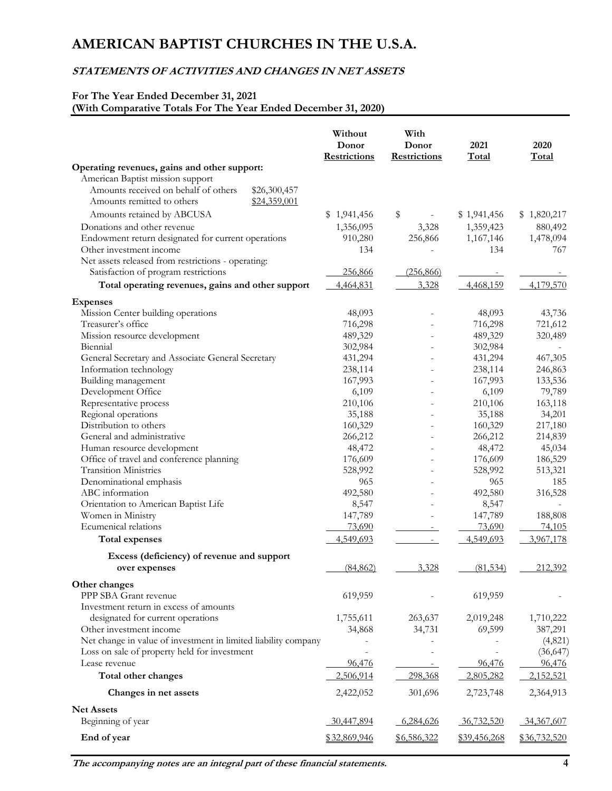# **STATEMENTS OF ACTIVITIES AND CHANGES IN NET ASSETS**

### **For The Year Ended December 31, 2021 (With Comparative Totals For The Year Ended December 31, 2020)**

|                                                                | Without<br>Donor<br><b>Restrictions</b> | With<br>Donor<br>Restrictions | 2021<br>Total          | 2020<br>Total          |
|----------------------------------------------------------------|-----------------------------------------|-------------------------------|------------------------|------------------------|
| Operating revenues, gains and other support:                   |                                         |                               |                        |                        |
| American Baptist mission support                               |                                         |                               |                        |                        |
| Amounts received on behalf of others<br>\$26,300,457           |                                         |                               |                        |                        |
| Amounts remitted to others<br>\$24,359,001                     |                                         |                               |                        |                        |
| Amounts retained by ABCUSA                                     | \$1,941,456                             | \$                            | \$1,941,456            | \$1,820,217            |
| Donations and other revenue                                    | 1,356,095                               | 3,328                         | 1,359,423              | 880,492                |
| Endowment return designated for current operations             | 910,280                                 | 256,866                       | 1,167,146              | 1,478,094              |
| Other investment income                                        | 134                                     |                               | 134                    | 767                    |
| Net assets released from restrictions - operating:             |                                         |                               |                        |                        |
| Satisfaction of program restrictions                           | 256,866                                 | (256, 866)                    |                        |                        |
| Total operating revenues, gains and other support              | 4,464,831                               | 3,328                         | 4,468,159              | 4,179,570              |
|                                                                |                                         |                               |                        |                        |
| <b>Expenses</b>                                                |                                         |                               |                        |                        |
| Mission Center building operations                             | 48,093                                  |                               | 48,093                 | 43,736                 |
| Treasurer's office                                             | 716,298                                 |                               | 716,298                | 721,612                |
| Mission resource development                                   | 489,329                                 |                               | 489,329                | 320,489                |
| Biennial                                                       | 302,984                                 |                               | 302,984                |                        |
| General Secretary and Associate General Secretary              | 431,294                                 |                               | 431,294                | 467,305                |
| Information technology                                         | 238,114                                 |                               | 238,114                | 246,863                |
| Building management                                            | 167,993                                 |                               | 167,993                | 133,536                |
| Development Office                                             | 6,109                                   |                               | 6,109                  | 79,789                 |
| Representative process                                         | 210,106                                 |                               | 210,106                | 163,118                |
| Regional operations                                            | 35,188                                  |                               | 35,188                 | 34,201                 |
| Distribution to others                                         | 160,329                                 |                               | 160,329                | 217,180                |
| General and administrative                                     | 266,212                                 |                               | 266,212                | 214,839                |
| Human resource development                                     | 48,472                                  |                               | 48,472                 | 45,034                 |
| Office of travel and conference planning                       | 176,609                                 |                               | 176,609                | 186,529                |
| <b>Transition Ministries</b>                                   | 528,992                                 |                               | 528,992                | 513,321                |
| Denominational emphasis                                        | 965                                     |                               | 965                    | 185                    |
| ABC information                                                | 492,580                                 |                               | 492,580                | 316,528                |
| Orientation to American Baptist Life                           | 8,547                                   |                               | 8,547                  |                        |
| Women in Ministry                                              | 147,789                                 |                               | 147,789                | 188,808                |
| Ecumenical relations                                           | 73,690                                  | $\sim$                        | 73,690                 | <u>74,105</u>          |
| <b>Total expenses</b>                                          | 4,549,693                               | $\sim$                        | 4,549,693              | 3,967,178              |
| Excess (deficiency) of revenue and support                     |                                         |                               |                        |                        |
| over expenses                                                  | (84, 862)                               | 3 3 2 8                       | (81, 534)              | 212.392                |
|                                                                |                                         |                               |                        |                        |
| Other changes<br>PPP SBA Grant revenue                         | 619,959                                 |                               | 619,959                |                        |
| Investment return in excess of amounts                         |                                         |                               |                        |                        |
| designated for current operations                              |                                         | 263,637                       |                        | 1,710,222              |
|                                                                | 1,755,611                               |                               | 2,019,248              |                        |
| Other investment income                                        | 34,868                                  | 34,731                        | 69,599                 | 387,291                |
| Net change in value of investment in limited liability company |                                         |                               |                        | (4,821)                |
| Loss on sale of property held for investment                   |                                         |                               |                        | (36, 647)              |
| Lease revenue                                                  | 96,476                                  |                               | 96,476                 | 96,476                 |
| Total other changes<br>Changes in net assets                   | 2,506,914<br>2,422,052                  | 298,368<br>301,696            | 2,805,282<br>2,723,748 | 2,152,521<br>2,364,913 |
|                                                                |                                         |                               |                        |                        |
| <b>Net Assets</b>                                              |                                         |                               |                        |                        |
| Beginning of year                                              | 30,447,894                              | 6,284,626                     | 36,732,520             | 34,367,607             |
| End of year                                                    | \$32,869,946                            | \$6,586,322                   | \$39,456,268           | \$36,732,520           |

**The accompanying notes are an integral part of these financial statements. 4**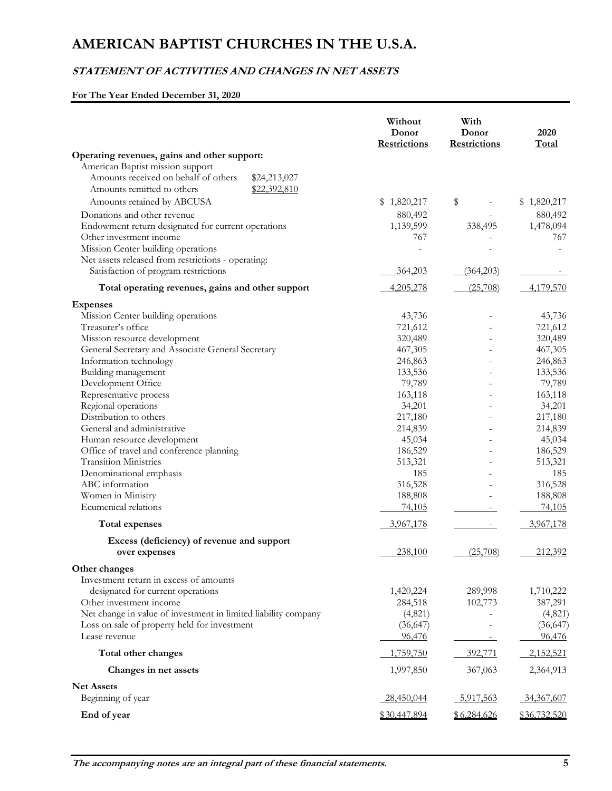# **STATEMENT OF ACTIVITIES AND CHANGES IN NET ASSETS**

### **For The Year Ended December 31, 2020**

|                                                                | Without<br>Donor<br><b>Restrictions</b> | With<br>Donor<br><b>Restrictions</b> | 2020<br>Total     |
|----------------------------------------------------------------|-----------------------------------------|--------------------------------------|-------------------|
| Operating revenues, gains and other support:                   |                                         |                                      |                   |
| American Baptist mission support                               |                                         |                                      |                   |
| Amounts received on behalf of others<br>\$24,213,027           |                                         |                                      |                   |
| Amounts remitted to others<br>\$22,392,810                     |                                         |                                      |                   |
| Amounts retained by ABCUSA                                     | \$1,820,217                             | \$                                   | \$1,820,217       |
| Donations and other revenue                                    | 880,492                                 |                                      | 880,492           |
| Endowment return designated for current operations             | 1,139,599                               | 338,495                              | 1,478,094         |
| Other investment income                                        | 767                                     |                                      | 767               |
| Mission Center building operations                             |                                         |                                      |                   |
| Net assets released from restrictions - operating:             |                                         |                                      |                   |
| Satisfaction of program restrictions                           | 364,203                                 | (364,203)                            |                   |
| Total operating revenues, gains and other support              | 4,205,278                               | (25,708)                             | 4,179,570         |
| <b>Expenses</b>                                                |                                         |                                      |                   |
| Mission Center building operations                             | 43,736                                  |                                      | 43,736            |
| Treasurer's office                                             | 721,612                                 |                                      | 721,612           |
| Mission resource development                                   | 320,489                                 |                                      | 320,489           |
| General Secretary and Associate General Secretary              | 467,305                                 |                                      | 467,305           |
| Information technology                                         | 246,863                                 |                                      | 246,863           |
| Building management                                            | 133,536                                 |                                      | 133,536           |
| Development Office                                             | 79,789                                  |                                      | 79,789            |
| Representative process                                         | 163,118                                 |                                      | 163,118           |
| Regional operations                                            | 34,201                                  |                                      | 34,201            |
| Distribution to others                                         | 217,180                                 |                                      | 217,180           |
| General and administrative                                     | 214,839                                 |                                      | 214,839           |
| Human resource development                                     | 45,034                                  |                                      | 45,034            |
| Office of travel and conference planning                       | 186,529                                 |                                      | 186,529           |
| <b>Transition Ministries</b>                                   | 513,321                                 |                                      | 513,321           |
| Denominational emphasis                                        | 185                                     |                                      | 185               |
| ABC information                                                | 316,528                                 |                                      | 316,528           |
| Women in Ministry                                              | 188,808                                 |                                      | 188,808           |
| Ecumenical relations                                           | <u>74,105</u>                           |                                      | 74,105            |
| <b>Total expenses</b>                                          | 3,967,178                               |                                      | 3,967,178         |
| Excess (deficiency) of revenue and support                     |                                         |                                      |                   |
| over expenses                                                  | 238,100                                 | (25,708)                             | 212,392           |
| Other changes                                                  |                                         |                                      |                   |
| Investment return in excess of amounts                         |                                         |                                      |                   |
| designated for current operations                              | 1,420,224                               | 289,998                              | 1,710,222         |
| Other investment income                                        | 284,518                                 | 102,773                              | 387,291           |
| Net change in value of investment in limited liability company | (4,821)                                 |                                      | (4,821)           |
| Loss on sale of property held for investment                   | (36, 647)                               |                                      | (36, 647)         |
| Lease revenue                                                  | 96,476                                  |                                      | 96,476            |
| Total other changes                                            | 1,759,750                               | 392,771                              | 2,152,521         |
| Changes in net assets                                          | 1,997,850                               | 367,063                              | 2,364,913         |
| <b>Net Assets</b>                                              |                                         |                                      |                   |
| Beginning of year                                              | 28,450,044                              | <u>5.917,563</u>                     | <u>34,367,607</u> |
| End of year                                                    | \$30,447,894                            | \$6,284,626                          | \$36,732,520      |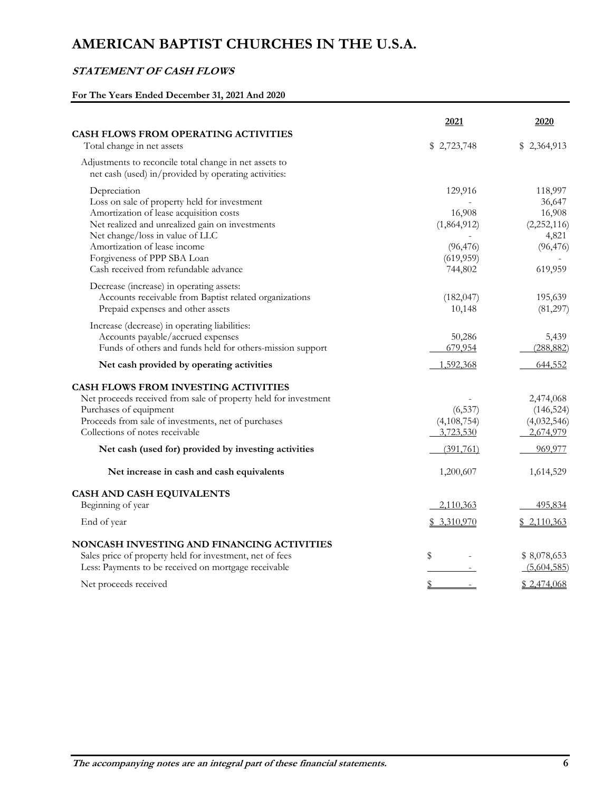# **STATEMENT OF CASH FLOWS**

### **For The Years Ended December 31, 2021 And 2020**

|                                                                                                                                                                                                                                                                                                       | 2021                                                                  | 2020                                                                        |
|-------------------------------------------------------------------------------------------------------------------------------------------------------------------------------------------------------------------------------------------------------------------------------------------------------|-----------------------------------------------------------------------|-----------------------------------------------------------------------------|
| CASH FLOWS FROM OPERATING ACTIVITIES<br>Total change in net assets                                                                                                                                                                                                                                    | \$2,723,748                                                           | 2,364,913<br>\$                                                             |
| Adjustments to reconcile total change in net assets to<br>net cash (used) in/provided by operating activities:                                                                                                                                                                                        |                                                                       |                                                                             |
| Depreciation<br>Loss on sale of property held for investment<br>Amortization of lease acquisition costs<br>Net realized and unrealized gain on investments<br>Net change/loss in value of LLC<br>Amortization of lease income<br>Forgiveness of PPP SBA Loan<br>Cash received from refundable advance | 129,916<br>16,908<br>(1,864,912)<br>(96, 476)<br>(619,959)<br>744,802 | 118,997<br>36,647<br>16,908<br>(2,252,116)<br>4,821<br>(96, 476)<br>619,959 |
| Decrease (increase) in operating assets:<br>Accounts receivable from Baptist related organizations<br>Prepaid expenses and other assets                                                                                                                                                               | (182, 047)<br>10,148                                                  | 195,639<br>(81,297)                                                         |
| Increase (decrease) in operating liabilities:<br>Accounts payable/accrued expenses<br>Funds of others and funds held for others-mission support<br>Net cash provided by operating activities                                                                                                          | 50,286<br>679,954<br>1,592,368                                        | 5,439<br>(288, 882)<br>644,552                                              |
| <b>CASH FLOWS FROM INVESTING ACTIVITIES</b><br>Net proceeds received from sale of property held for investment<br>Purchases of equipment<br>Proceeds from sale of investments, net of purchases<br>Collections of notes receivable                                                                    | (6, 537)<br>(4,108,754)<br>3,723,530                                  | 2,474,068<br>(146, 524)<br>(4,032,546)<br>2,674,979                         |
| Net cash (used for) provided by investing activities                                                                                                                                                                                                                                                  | (391,761)                                                             | 969,977                                                                     |
| Net increase in cash and cash equivalents                                                                                                                                                                                                                                                             | 1,200,607                                                             | 1,614,529                                                                   |
| CASH AND CASH EQUIVALENTS<br>Beginning of year                                                                                                                                                                                                                                                        | 2,110,363                                                             | 495,834                                                                     |
| End of year                                                                                                                                                                                                                                                                                           | \$3,310,970                                                           | \$2,110,363                                                                 |
| NONCASH INVESTING AND FINANCING ACTIVITIES<br>Sales price of property held for investment, net of fees<br>Less: Payments to be received on mortgage receivable                                                                                                                                        | \$                                                                    | \$8,078,653<br>(5,604,585)                                                  |
| Net proceeds received                                                                                                                                                                                                                                                                                 | \$                                                                    | \$2,474,068                                                                 |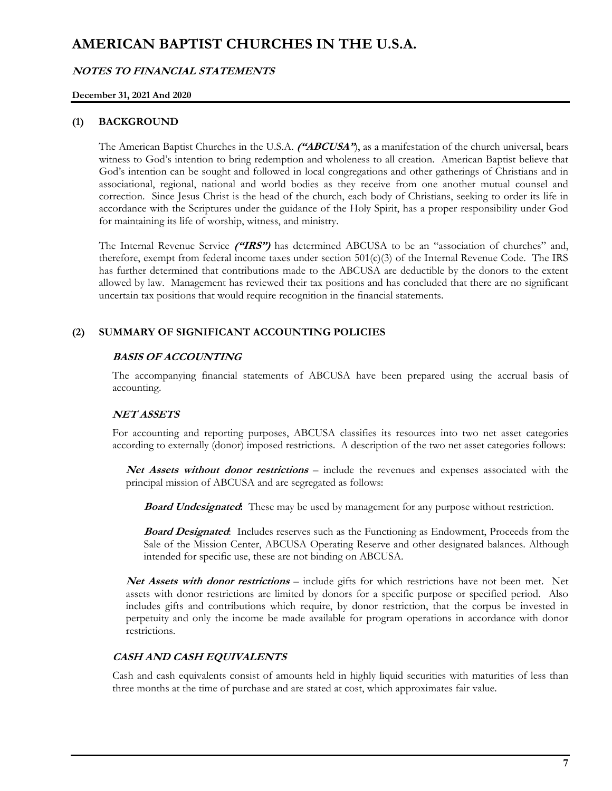### **NOTES TO FINANCIAL STATEMENTS**

#### **December 31, 2021 And 2020**

### **(1) BACKGROUND**

The American Baptist Churches in the U.S.A. **("ABCUSA"**), as a manifestation of the church universal, bears witness to God's intention to bring redemption and wholeness to all creation. American Baptist believe that God's intention can be sought and followed in local congregations and other gatherings of Christians and in associational, regional, national and world bodies as they receive from one another mutual counsel and correction. Since Jesus Christ is the head of the church, each body of Christians, seeking to order its life in accordance with the Scriptures under the guidance of the Holy Spirit, has a proper responsibility under God for maintaining its life of worship, witness, and ministry.

The Internal Revenue Service **("IRS")** has determined ABCUSA to be an "association of churches" and, therefore, exempt from federal income taxes under section 501(c)(3) of the Internal Revenue Code. The IRS has further determined that contributions made to the ABCUSA are deductible by the donors to the extent allowed by law. Management has reviewed their tax positions and has concluded that there are no significant uncertain tax positions that would require recognition in the financial statements.

### **(2) SUMMARY OF SIGNIFICANT ACCOUNTING POLICIES**

### **BASIS OF ACCOUNTING**

The accompanying financial statements of ABCUSA have been prepared using the accrual basis of accounting.

### **NET ASSETS**

For accounting and reporting purposes, ABCUSA classifies its resources into two net asset categories according to externally (donor) imposed restrictions. A description of the two net asset categories follows:

**Net Assets without donor restrictions** – include the revenues and expenses associated with the principal mission of ABCUSA and are segregated as follows:

**Board Undesignated:** These may be used by management for any purpose without restriction.

**Board Designated**: Includes reserves such as the Functioning as Endowment, Proceeds from the Sale of the Mission Center, ABCUSA Operating Reserve and other designated balances. Although intended for specific use, these are not binding on ABCUSA.

**Net Assets with donor restrictions** – include gifts for which restrictions have not been met. Net assets with donor restrictions are limited by donors for a specific purpose or specified period. Also includes gifts and contributions which require, by donor restriction, that the corpus be invested in perpetuity and only the income be made available for program operations in accordance with donor restrictions.

### **CASH AND CASH EQUIVALENTS**

Cash and cash equivalents consist of amounts held in highly liquid securities with maturities of less than three months at the time of purchase and are stated at cost, which approximates fair value.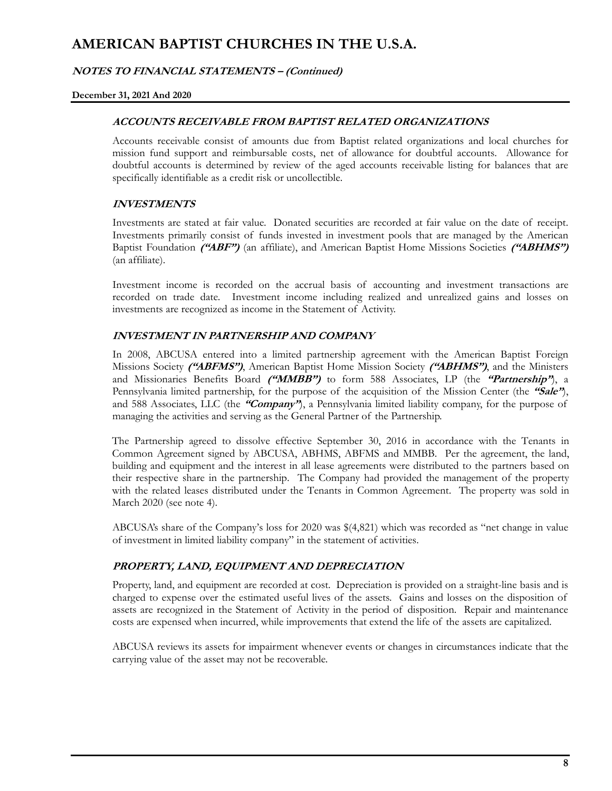# **NOTES TO FINANCIAL STATEMENTS – (Continued)**

#### **December 31, 2021 And 2020**

### **ACCOUNTS RECEIVABLE FROM BAPTIST RELATED ORGANIZATIONS**

Accounts receivable consist of amounts due from Baptist related organizations and local churches for mission fund support and reimbursable costs, net of allowance for doubtful accounts. Allowance for doubtful accounts is determined by review of the aged accounts receivable listing for balances that are specifically identifiable as a credit risk or uncollectible.

### **INVESTMENTS**

Investments are stated at fair value. Donated securities are recorded at fair value on the date of receipt. Investments primarily consist of funds invested in investment pools that are managed by the American Baptist Foundation **("ABF")** (an affiliate), and American Baptist Home Missions Societies **("ABHMS")** (an affiliate).

Investment income is recorded on the accrual basis of accounting and investment transactions are recorded on trade date. Investment income including realized and unrealized gains and losses on investments are recognized as income in the Statement of Activity.

### **INVESTMENT IN PARTNERSHIP AND COMPANY**

In 2008, ABCUSA entered into a limited partnership agreement with the American Baptist Foreign Missions Society **("ABFMS")**, American Baptist Home Mission Society **("ABHMS")**, and the Ministers and Missionaries Benefits Board **("MMBB")** to form 588 Associates, LP (the **"Partnership"**), a Pennsylvania limited partnership, for the purpose of the acquisition of the Mission Center (the **"Sale"**), and 588 Associates, LLC (the **"Company"**), a Pennsylvania limited liability company, for the purpose of managing the activities and serving as the General Partner of the Partnership.

The Partnership agreed to dissolve effective September 30, 2016 in accordance with the Tenants in Common Agreement signed by ABCUSA, ABHMS, ABFMS and MMBB. Per the agreement, the land, building and equipment and the interest in all lease agreements were distributed to the partners based on their respective share in the partnership. The Company had provided the management of the property with the related leases distributed under the Tenants in Common Agreement. The property was sold in March 2020 (see note 4).

ABCUSA's share of the Company's loss for 2020 was \$(4,821) which was recorded as "net change in value of investment in limited liability company" in the statement of activities.

### **PROPERTY, LAND, EQUIPMENT AND DEPRECIATION**

Property, land, and equipment are recorded at cost. Depreciation is provided on a straight-line basis and is charged to expense over the estimated useful lives of the assets. Gains and losses on the disposition of assets are recognized in the Statement of Activity in the period of disposition. Repair and maintenance costs are expensed when incurred, while improvements that extend the life of the assets are capitalized.

ABCUSA reviews its assets for impairment whenever events or changes in circumstances indicate that the carrying value of the asset may not be recoverable.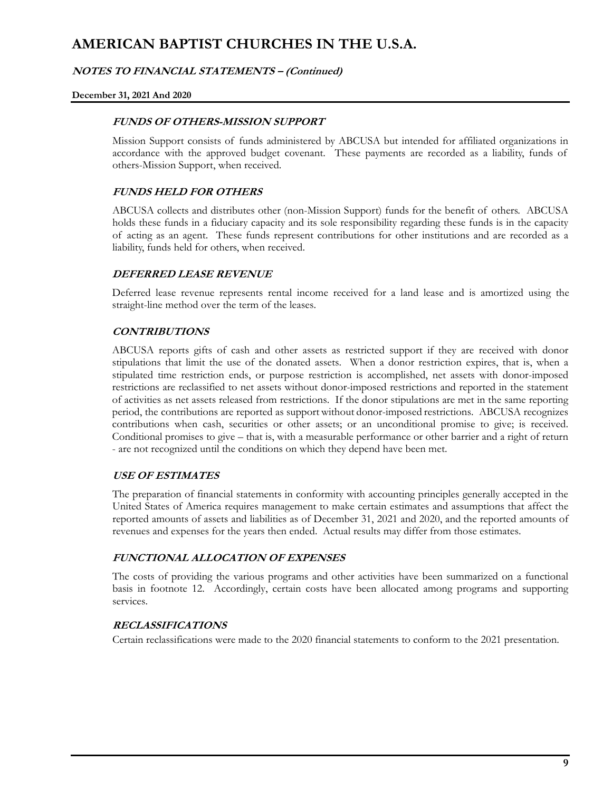# **NOTES TO FINANCIAL STATEMENTS – (Continued)**

#### **December 31, 2021 And 2020**

### **FUNDS OF OTHERS-MISSION SUPPORT**

Mission Support consists of funds administered by ABCUSA but intended for affiliated organizations in accordance with the approved budget covenant. These payments are recorded as a liability, funds of others-Mission Support, when received.

## **FUNDS HELD FOR OTHERS**

ABCUSA collects and distributes other (non-Mission Support) funds for the benefit of others. ABCUSA holds these funds in a fiduciary capacity and its sole responsibility regarding these funds is in the capacity of acting as an agent. These funds represent contributions for other institutions and are recorded as a liability, funds held for others, when received.

### **DEFERRED LEASE REVENUE**

Deferred lease revenue represents rental income received for a land lease and is amortized using the straight-line method over the term of the leases.

### **CONTRIBUTIONS**

ABCUSA reports gifts of cash and other assets as restricted support if they are received with donor stipulations that limit the use of the donated assets. When a donor restriction expires, that is, when a stipulated time restriction ends, or purpose restriction is accomplished, net assets with donor-imposed restrictions are reclassified to net assets without donor-imposed restrictions and reported in the statement of activities as net assets released from restrictions. If the donor stipulations are met in the same reporting period, the contributions are reported as support without donor-imposed restrictions. ABCUSA recognizes contributions when cash, securities or other assets; or an unconditional promise to give; is received. Conditional promises to give – that is, with a measurable performance or other barrier and a right of return - are not recognized until the conditions on which they depend have been met.

# **USE OF ESTIMATES**

The preparation of financial statements in conformity with accounting principles generally accepted in the United States of America requires management to make certain estimates and assumptions that affect the reported amounts of assets and liabilities as of December 31, 2021 and 2020, and the reported amounts of revenues and expenses for the years then ended. Actual results may differ from those estimates.

# **FUNCTIONAL ALLOCATION OF EXPENSES**

The costs of providing the various programs and other activities have been summarized on a functional basis in footnote 12. Accordingly, certain costs have been allocated among programs and supporting services.

### **RECLASSIFICATIONS**

Certain reclassifications were made to the 2020 financial statements to conform to the 2021 presentation.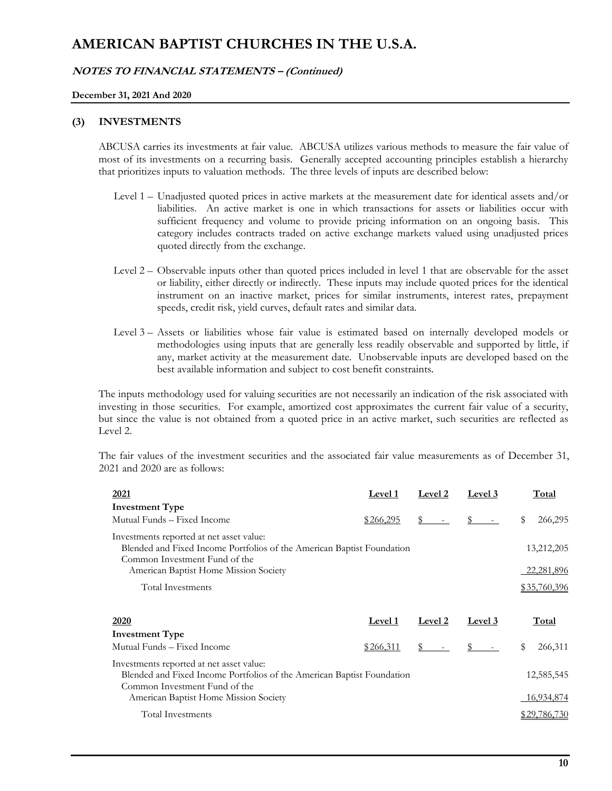### **NOTES TO FINANCIAL STATEMENTS – (Continued)**

**December 31, 2021 And 2020** 

### **(3) INVESTMENTS**

ABCUSA carries its investments at fair value. ABCUSA utilizes various methods to measure the fair value of most of its investments on a recurring basis. Generally accepted accounting principles establish a hierarchy that prioritizes inputs to valuation methods. The three levels of inputs are described below:

- Level 1 Unadjusted quoted prices in active markets at the measurement date for identical assets and/or liabilities. An active market is one in which transactions for assets or liabilities occur with sufficient frequency and volume to provide pricing information on an ongoing basis. This category includes contracts traded on active exchange markets valued using unadjusted prices quoted directly from the exchange.
- Level 2 Observable inputs other than quoted prices included in level 1 that are observable for the asset or liability, either directly or indirectly. These inputs may include quoted prices for the identical instrument on an inactive market, prices for similar instruments, interest rates, prepayment speeds, credit risk, yield curves, default rates and similar data.
- Level 3 Assets or liabilities whose fair value is estimated based on internally developed models or methodologies using inputs that are generally less readily observable and supported by little, if any, market activity at the measurement date. Unobservable inputs are developed based on the best available information and subject to cost benefit constraints.

The inputs methodology used for valuing securities are not necessarily an indication of the risk associated with investing in those securities. For example, amortized cost approximates the current fair value of a security, but since the value is not obtained from a quoted price in an active market, such securities are reflected as Level 2.

The fair values of the investment securities and the associated fair value measurements as of December 31, 2021 and 2020 are as follows:

| 2021                                                                                                                                                                                         | Level 1   | Level 2 | Level 3 | Total                    |
|----------------------------------------------------------------------------------------------------------------------------------------------------------------------------------------------|-----------|---------|---------|--------------------------|
| <b>Investment Type</b>                                                                                                                                                                       |           |         |         |                          |
| Mutual Funds – Fixed Income                                                                                                                                                                  | \$266,295 | S       |         | 266,295<br>\$            |
| Investments reported at net asset value:<br>Blended and Fixed Income Portfolios of the American Baptist Foundation<br>Common Investment Fund of the<br>American Baptist Home Mission Society |           |         |         | 13,212,205<br>22,281,896 |
| <b>Total Investments</b>                                                                                                                                                                     |           |         |         | \$35,760,396             |
|                                                                                                                                                                                              |           |         |         |                          |
| <b>2020</b>                                                                                                                                                                                  | Level 1   | Level 2 | Level 3 | Total                    |
| <b>Investment Type</b>                                                                                                                                                                       |           |         |         |                          |
| Mutual Funds – Fixed Income                                                                                                                                                                  | \$266,311 | S       |         | 266,311                  |
| Investments reported at net asset value:<br>Blended and Fixed Income Portfolios of the American Baptist Foundation<br>Common Investment Fund of the                                          |           |         |         | 12,585,545               |
| American Baptist Home Mission Society                                                                                                                                                        |           |         |         | 16,934,874               |
|                                                                                                                                                                                              |           |         |         |                          |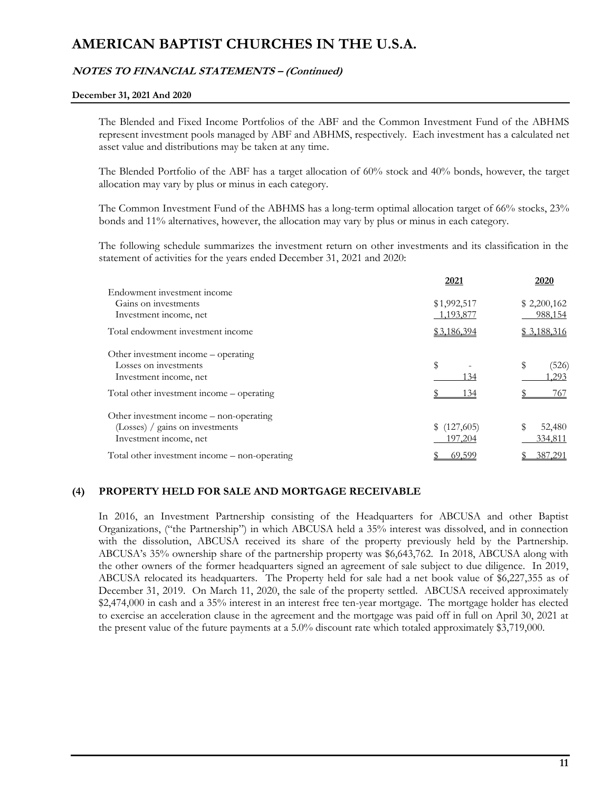# **NOTES TO FINANCIAL STATEMENTS – (Continued)**

#### **December 31, 2021 And 2020**

The Blended and Fixed Income Portfolios of the ABF and the Common Investment Fund of the ABHMS represent investment pools managed by ABF and ABHMS, respectively. Each investment has a calculated net asset value and distributions may be taken at any time.

The Blended Portfolio of the ABF has a target allocation of 60% stock and 40% bonds, however, the target allocation may vary by plus or minus in each category.

The Common Investment Fund of the ABHMS has a long-term optimal allocation target of 66% stocks, 23% bonds and 11% alternatives, however, the allocation may vary by plus or minus in each category.

The following schedule summarizes the investment return on other investments and its classification in the statement of activities for the years ended December 31, 2021 and 2020:

|                                               | 2021        | 2020               |
|-----------------------------------------------|-------------|--------------------|
| Endowment investment income                   |             |                    |
| Gains on investments                          | \$1,992,517 | \$2,200,162        |
| Investment income, net                        | 1,193,877   | 988,154            |
| Total endowment investment income             | \$3,186,394 | <u>\$3,188,316</u> |
| Other investment income – operating           |             |                    |
| Losses on investments                         | \$          | \$<br>(526)        |
| Investment income, net                        | 134         | .293               |
| Total other investment income – operating     | 134         | 767                |
| Other investment income – non-operating       |             |                    |
| (Losses) / gains on investments               | (127,605)   | 52,480             |
| Investment income, net                        | 197,204     | 334,811            |
| Total other investment income – non-operating | 69,599      | 387,291            |

#### **(4) PROPERTY HELD FOR SALE AND MORTGAGE RECEIVABLE**

In 2016, an Investment Partnership consisting of the Headquarters for ABCUSA and other Baptist Organizations, ("the Partnership") in which ABCUSA held a 35% interest was dissolved, and in connection with the dissolution, ABCUSA received its share of the property previously held by the Partnership. ABCUSA's 35% ownership share of the partnership property was \$6,643,762. In 2018, ABCUSA along with the other owners of the former headquarters signed an agreement of sale subject to due diligence. In 2019, ABCUSA relocated its headquarters. The Property held for sale had a net book value of \$6,227,355 as of December 31, 2019. On March 11, 2020, the sale of the property settled. ABCUSA received approximately \$2,474,000 in cash and a 35% interest in an interest free ten-year mortgage. The mortgage holder has elected to exercise an acceleration clause in the agreement and the mortgage was paid off in full on April 30, 2021 at the present value of the future payments at a 5.0% discount rate which totaled approximately \$3,719,000.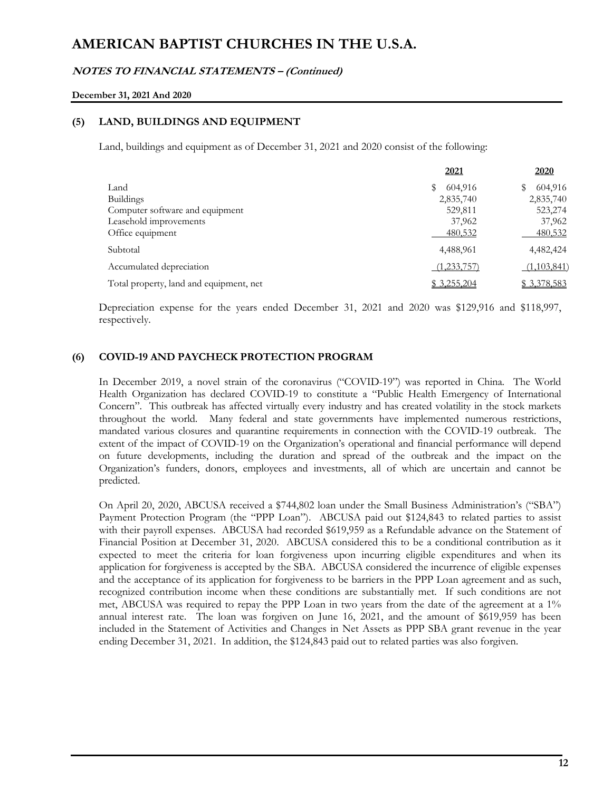### **NOTES TO FINANCIAL STATEMENTS – (Continued)**

**December 31, 2021 And 2020** 

## **(5) LAND, BUILDINGS AND EQUIPMENT**

Land, buildings and equipment as of December 31, 2021 and 2020 consist of the following:

|                                         | 2021         | 2020         |
|-----------------------------------------|--------------|--------------|
| Land                                    | 604,916<br>S | 604,916<br>S |
| <b>Buildings</b>                        | 2,835,740    | 2,835,740    |
| Computer software and equipment         | 529,811      | 523,274      |
| Leasehold improvements                  | 37,962       | 37,962       |
| Office equipment                        | 480,532      | 480,532      |
| Subtotal                                | 4,488,961    | 4,482,424    |
| Accumulated depreciation                | (1,233,757)  | (1,103,841)  |
| Total property, land and equipment, net | \$3,255,204  | \$3,378,583  |

Depreciation expense for the years ended December 31, 2021 and 2020 was \$129,916 and \$118,997, respectively.

### **(6) COVID-19 AND PAYCHECK PROTECTION PROGRAM**

In December 2019, a novel strain of the coronavirus ("COVID-19") was reported in China. The World Health Organization has declared COVID-19 to constitute a "Public Health Emergency of International Concern". This outbreak has affected virtually every industry and has created volatility in the stock markets throughout the world. Many federal and state governments have implemented numerous restrictions, mandated various closures and quarantine requirements in connection with the COVID-19 outbreak. The extent of the impact of COVID-19 on the Organization's operational and financial performance will depend on future developments, including the duration and spread of the outbreak and the impact on the Organization's funders, donors, employees and investments, all of which are uncertain and cannot be predicted.

On April 20, 2020, ABCUSA received a \$744,802 loan under the Small Business Administration's ("SBA") Payment Protection Program (the "PPP Loan"). ABCUSA paid out \$124,843 to related parties to assist with their payroll expenses. ABCUSA had recorded \$619,959 as a Refundable advance on the Statement of Financial Position at December 31, 2020. ABCUSA considered this to be a conditional contribution as it expected to meet the criteria for loan forgiveness upon incurring eligible expenditures and when its application for forgiveness is accepted by the SBA. ABCUSA considered the incurrence of eligible expenses and the acceptance of its application for forgiveness to be barriers in the PPP Loan agreement and as such, recognized contribution income when these conditions are substantially met. If such conditions are not met, ABCUSA was required to repay the PPP Loan in two years from the date of the agreement at a 1% annual interest rate. The loan was forgiven on June 16, 2021, and the amount of \$619,959 has been included in the Statement of Activities and Changes in Net Assets as PPP SBA grant revenue in the year ending December 31, 2021. In addition, the \$124,843 paid out to related parties was also forgiven.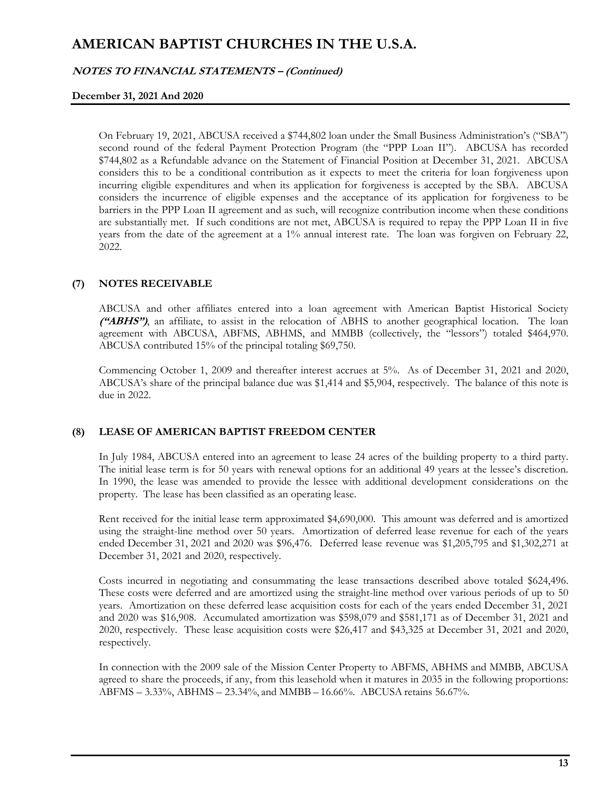**NOTES TO FINANCIAL STATEMENTS – (Continued)** 

**December 31, 2021 And 2020** 

On February 19, 2021, ABCUSA received a \$744,802 loan under the Small Business Administration's ("SBA") second round of the federal Payment Protection Program (the "PPP Loan II"). ABCUSA has recorded \$744,802 as a Refundable advance on the Statement of Financial Position at December 31, 2021. ABCUSA considers this to be a conditional contribution as it expects to meet the criteria for loan forgiveness upon incurring eligible expenditures and when its application for forgiveness is accepted by the SBA. ABCUSA considers the incurrence of eligible expenses and the acceptance of its application for forgiveness to be barriers in the PPP Loan II agreement and as such, will recognize contribution income when these conditions are substantially met. If such conditions are not met, ABCUSA is required to repay the PPP Loan II in five years from the date of the agreement at a 1% annual interest rate. The loan was forgiven on February 22, 2022.

# **(7) NOTES RECEIVABLE**

ABCUSA and other affiliates entered into a loan agreement with American Baptist Historical Society **("ABHS")**, an affiliate, to assist in the relocation of ABHS to another geographical location. The loan agreement with ABCUSA, ABFMS, ABHMS, and MMBB (collectively, the "lessors") totaled \$464,970. ABCUSA contributed 15% of the principal totaling \$69,750.

Commencing October 1, 2009 and thereafter interest accrues at 5%. As of December 31, 2021 and 2020, ABCUSA's share of the principal balance due was \$1,414 and \$5,904, respectively. The balance of this note is due in 2022.

# **(8) LEASE OF AMERICAN BAPTIST FREEDOM CENTER**

In July 1984, ABCUSA entered into an agreement to lease 24 acres of the building property to a third party. The initial lease term is for 50 years with renewal options for an additional 49 years at the lessee's discretion. In 1990, the lease was amended to provide the lessee with additional development considerations on the property. The lease has been classified as an operating lease.

Rent received for the initial lease term approximated \$4,690,000. This amount was deferred and is amortized using the straight-line method over 50 years. Amortization of deferred lease revenue for each of the years ended December 31, 2021 and 2020 was \$96,476. Deferred lease revenue was \$1,205,795 and \$1,302,271 at December 31, 2021 and 2020, respectively.

Costs incurred in negotiating and consummating the lease transactions described above totaled \$624,496. These costs were deferred and are amortized using the straight-line method over various periods of up to 50 years. Amortization on these deferred lease acquisition costs for each of the years ended December 31, 2021 and 2020 was \$16,908. Accumulated amortization was \$598,079 and \$581,171 as of December 31, 2021 and 2020, respectively. These lease acquisition costs were \$26,417 and \$43,325 at December 31, 2021 and 2020, respectively.

In connection with the 2009 sale of the Mission Center Property to ABFMS, ABHMS and MMBB, ABCUSA agreed to share the proceeds, if any, from this leasehold when it matures in 2035 in the following proportions: ABFMS – 3.33%, ABHMS – 23.34%, and MMBB – 16.66%. ABCUSA retains 56.67%.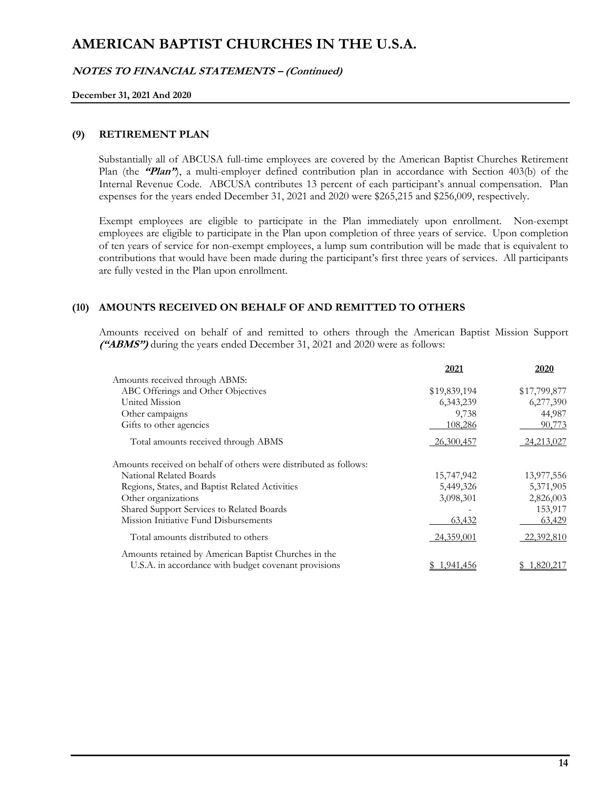### **NOTES TO FINANCIAL STATEMENTS – (Continued)**

#### **December 31, 2021 And 2020**

### **(9) RETIREMENT PLAN**

Substantially all of ABCUSA full-time employees are covered by the American Baptist Churches Retirement Plan (the **"Plan"**), a multi-employer defined contribution plan in accordance with Section 403(b) of the Internal Revenue Code. ABCUSA contributes 13 percent of each participant's annual compensation. Plan expenses for the years ended December 31, 2021 and 2020 were \$265,215 and \$256,009, respectively.

Exempt employees are eligible to participate in the Plan immediately upon enrollment. Non-exempt employees are eligible to participate in the Plan upon completion of three years of service. Upon completion of ten years of service for non-exempt employees, a lump sum contribution will be made that is equivalent to contributions that would have been made during the participant's first three years of services. All participants are fully vested in the Plan upon enrollment.

### **(10) AMOUNTS RECEIVED ON BEHALF OF AND REMITTED TO OTHERS**

Amounts received on behalf of and remitted to others through the American Baptist Mission Support **("ABMS")** during the years ended December 31, 2021 and 2020 were as follows:

|                                                                   | 2021         | 2020         |
|-------------------------------------------------------------------|--------------|--------------|
| Amounts received through ABMS:                                    |              |              |
| ABC Offerings and Other Objectives                                | \$19,839,194 | \$17,799,877 |
| United Mission                                                    | 6,343,239    | 6,277,390    |
| Other campaigns                                                   | 9,738        | 44,987       |
| Gifts to other agencies                                           | 108,286      | 90,773       |
| Total amounts received through ABMS                               | 26,300,457   | 24,213,027   |
| Amounts received on behalf of others were distributed as follows: |              |              |
| National Related Boards                                           | 15,747,942   | 13,977,556   |
| Regions, States, and Baptist Related Activities                   | 5,449,326    | 5,371,905    |
| Other organizations                                               | 3,098,301    | 2,826,003    |
| Shared Support Services to Related Boards                         |              | 153,917      |
| Mission Initiative Fund Disbursements                             | 63,432       | 63,429       |
| Total amounts distributed to others                               | 24,359,001   | 22,392,810   |
| Amounts retained by American Baptist Churches in the              |              |              |
| U.S.A. in accordance with budget covenant provisions              | .941.456     | .820.217     |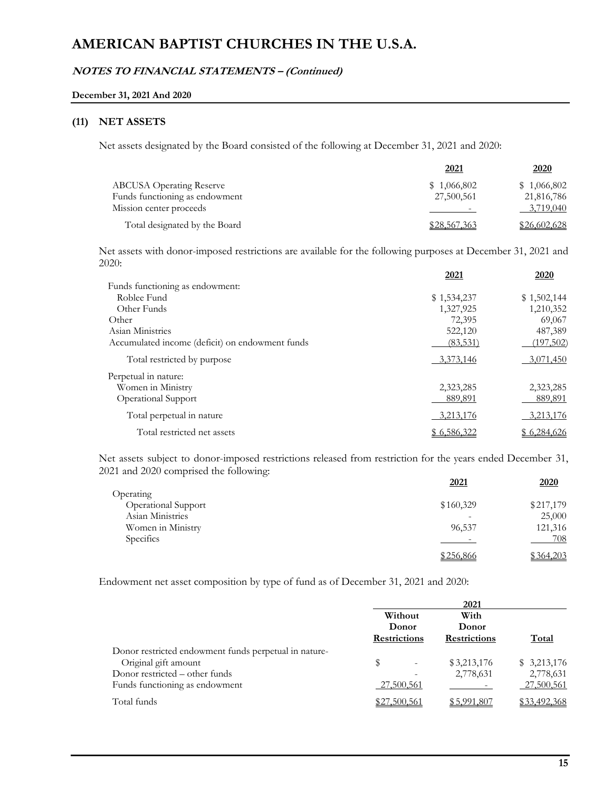### **NOTES TO FINANCIAL STATEMENTS – (Continued)**

#### **December 31, 2021 And 2020**

### **(11) NET ASSETS**

Net assets designated by the Board consisted of the following at December 31, 2021 and 2020:

|                                 | 2021         | 2020         |
|---------------------------------|--------------|--------------|
| <b>ABCUSA</b> Operating Reserve | \$1,066,802  | \$1,066,802  |
| Funds functioning as endowment  | 27,500,561   | 21,816,786   |
| Mission center proceeds         |              | 3,719,040    |
| Total designated by the Board   | \$28,567,363 | \$26,602,628 |

Net assets with donor-imposed restrictions are available for the following purposes at December 31, 2021 and 2020:

|                                                 | 2021        | 2020        |
|-------------------------------------------------|-------------|-------------|
| Funds functioning as endowment:                 |             |             |
| Roblee Fund                                     | \$1,534,237 | \$1,502,144 |
| Other Funds                                     | 1,327,925   | 1,210,352   |
| Other                                           | 72,395      | 69,067      |
| Asian Ministries                                | 522,120     | 487,389     |
| Accumulated income (deficit) on endowment funds | (83,531)    | (197,502)   |
| Total restricted by purpose                     | 3,373,146   | 3,071,450   |
| Perpetual in nature:                            |             |             |
| Women in Ministry                               | 2,323,285   | 2,323,285   |
| <b>Operational Support</b>                      | 889,891     | 889,891     |
| Total perpetual in nature                       | 3,213,176   | 3,213,176   |
| Total restricted net assets                     | \$6,586,322 | \$6,284,626 |

Net assets subject to donor-imposed restrictions released from restriction for the years ended December 31, 2021 and 2020 comprised the following:

|                            | 2021      | 2020      |
|----------------------------|-----------|-----------|
| Operating                  |           |           |
| <b>Operational Support</b> | \$160,329 | \$217,179 |
| Asian Ministries           |           | 25,000    |
| Women in Ministry          | 96,537    | 121,316   |
| Specifics                  |           | 708       |
|                            | \$256,866 | \$364,203 |

Endowment net asset composition by type of fund as of December 31, 2021 and 2020:

|                                                                                                                 | 2021                |                          |                                      |                         |  |
|-----------------------------------------------------------------------------------------------------------------|---------------------|--------------------------|--------------------------------------|-------------------------|--|
|                                                                                                                 | <b>Restrictions</b> | Without<br>Donor         | With<br>Donor<br><b>Restrictions</b> | Total                   |  |
| Donor restricted endowment funds perpetual in nature-<br>Original gift amount<br>Donor restricted – other funds |                     | $\overline{\phantom{a}}$ | \$3,213,176                          | \$3,213,176             |  |
| Funds functioning as endowment                                                                                  | 27,500,561          |                          | 2,778,631                            | 2,778,631<br>27,500,561 |  |
| Total funds                                                                                                     | \$27,500,561        |                          | \$5.991,807                          | \$33,492,368            |  |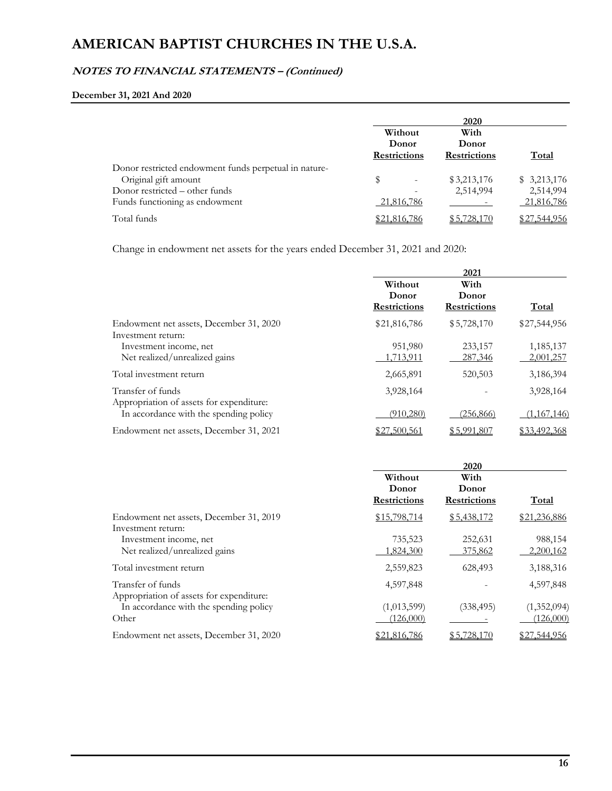# **NOTES TO FINANCIAL STATEMENTS – (Continued)**

### **December 31, 2021 And 2020**

|                                                                               | 2020 |                                         |                                      |                            |
|-------------------------------------------------------------------------------|------|-----------------------------------------|--------------------------------------|----------------------------|
|                                                                               |      | Without<br>Donor<br><b>Restrictions</b> | With<br>Donor<br><b>Restrictions</b> | Total                      |
| Donor restricted endowment funds perpetual in nature-<br>Original gift amount |      | $\overline{\phantom{a}}$                | \$3,213,176                          | \$3,213,176                |
| Donor restricted – other funds<br>Funds functioning as endowment              |      | 21,816,786                              | 2,514,994                            | 2,514,994<br>$-21,816,786$ |
| Total funds                                                                   |      | \$21,816,786                            | \$5.728.170                          | \$27,544,956               |

Change in endowment net assets for the years ended December 31, 2021 and 2020:

|                                                                               | 2021                                    |                                      |                        |
|-------------------------------------------------------------------------------|-----------------------------------------|--------------------------------------|------------------------|
|                                                                               | Without<br>Donor<br><b>Restrictions</b> | With<br>Donor<br><b>Restrictions</b> | Total                  |
| Endowment net assets, December 31, 2020                                       | \$21,816,786                            | \$5,728,170                          | \$27,544,956           |
| Investment return:<br>Investment income, net<br>Net realized/unrealized gains | 951,980<br>1,713,911                    | 233,157<br>287,346                   | 1,185,137<br>2,001,257 |
| Total investment return                                                       | 2,665,891                               | 520,503                              | 3,186,394              |
| Transfer of funds<br>Appropriation of assets for expenditure:                 | 3,928,164                               |                                      | 3,928,164              |
| In accordance with the spending policy                                        | (910, 280)                              | <u>(256,866)</u>                     | (1,167,146)            |
| Endowment net assets, December 31, 2021                                       | \$27,500,561                            | \$5,991,807                          | \$33,492,368           |

|                                                               | 2020                                    |                                      |                          |
|---------------------------------------------------------------|-----------------------------------------|--------------------------------------|--------------------------|
|                                                               | Without<br>Donor<br><b>Restrictions</b> | With<br>Donor<br><b>Restrictions</b> | Total                    |
| Endowment net assets, December 31, 2019<br>Investment return: | \$15,798,714                            | \$5,438,172                          | \$21,236,886             |
| Investment income, net<br>Net realized/unrealized gains       | 735,523<br><u>1,824,300</u>             | 252,631<br>375,862                   | 988,154<br>2,200,162     |
| Total investment return                                       | 2,559,823                               | 628,493                              | 3,188,316                |
| Transfer of funds<br>Appropriation of assets for expenditure: | 4,597,848                               |                                      | 4,597,848                |
| In accordance with the spending policy<br>Other               | (1,013,599)<br>(126,000)                | (338, 495)                           | (1,352,094)<br>(126,000) |
| Endowment net assets, December 31, 2020                       | \$21,816,786                            | \$5.728.170                          | \$27.544.956             |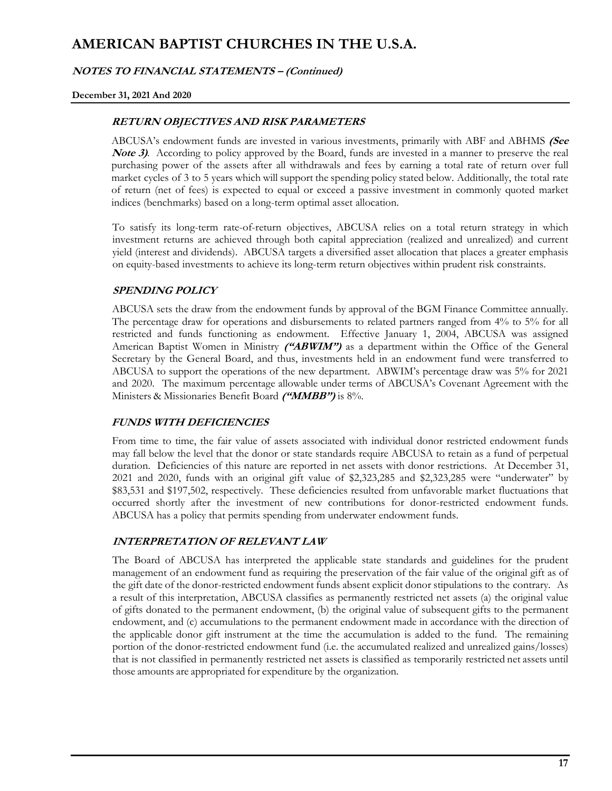# **NOTES TO FINANCIAL STATEMENTS – (Continued)**

#### **December 31, 2021 And 2020**

## **RETURN OBJECTIVES AND RISK PARAMETERS**

ABCUSA's endowment funds are invested in various investments, primarily with ABF and ABHMS **(See Note 3).** According to policy approved by the Board, funds are invested in a manner to preserve the real purchasing power of the assets after all withdrawals and fees by earning a total rate of return over full market cycles of 3 to 5 years which will support the spending policy stated below. Additionally, the total rate of return (net of fees) is expected to equal or exceed a passive investment in commonly quoted market indices (benchmarks) based on a long-term optimal asset allocation.

To satisfy its long-term rate-of-return objectives, ABCUSA relies on a total return strategy in which investment returns are achieved through both capital appreciation (realized and unrealized) and current yield (interest and dividends). ABCUSA targets a diversified asset allocation that places a greater emphasis on equity-based investments to achieve its long-term return objectives within prudent risk constraints.

# **SPENDING POLICY**

ABCUSA sets the draw from the endowment funds by approval of the BGM Finance Committee annually. The percentage draw for operations and disbursements to related partners ranged from 4% to 5% for all restricted and funds functioning as endowment. Effective January 1, 2004, ABCUSA was assigned American Baptist Women in Ministry **("ABWIM")** as a department within the Office of the General Secretary by the General Board, and thus, investments held in an endowment fund were transferred to ABCUSA to support the operations of the new department. ABWIM's percentage draw was 5% for 2021 and 2020. The maximum percentage allowable under terms of ABCUSA's Covenant Agreement with the Ministers & Missionaries Benefit Board **("MMBB")** is 8%.

# **FUNDS WITH DEFICIENCIES**

From time to time, the fair value of assets associated with individual donor restricted endowment funds may fall below the level that the donor or state standards require ABCUSA to retain as a fund of perpetual duration. Deficiencies of this nature are reported in net assets with donor restrictions. At December 31, 2021 and 2020, funds with an original gift value of \$2,323,285 and \$2,323,285 were "underwater" by \$83,531 and \$197,502, respectively. These deficiencies resulted from unfavorable market fluctuations that occurred shortly after the investment of new contributions for donor-restricted endowment funds. ABCUSA has a policy that permits spending from underwater endowment funds.

# **INTERPRETATION OF RELEVANT LAW**

The Board of ABCUSA has interpreted the applicable state standards and guidelines for the prudent management of an endowment fund as requiring the preservation of the fair value of the original gift as of the gift date of the donor-restricted endowment funds absent explicit donor stipulations to the contrary. As a result of this interpretation, ABCUSA classifies as permanently restricted net assets (a) the original value of gifts donated to the permanent endowment, (b) the original value of subsequent gifts to the permanent endowment, and (c) accumulations to the permanent endowment made in accordance with the direction of the applicable donor gift instrument at the time the accumulation is added to the fund. The remaining portion of the donor-restricted endowment fund (i.e. the accumulated realized and unrealized gains/losses) that is not classified in permanently restricted net assets is classified as temporarily restricted net assets until those amounts are appropriated for expenditure by the organization.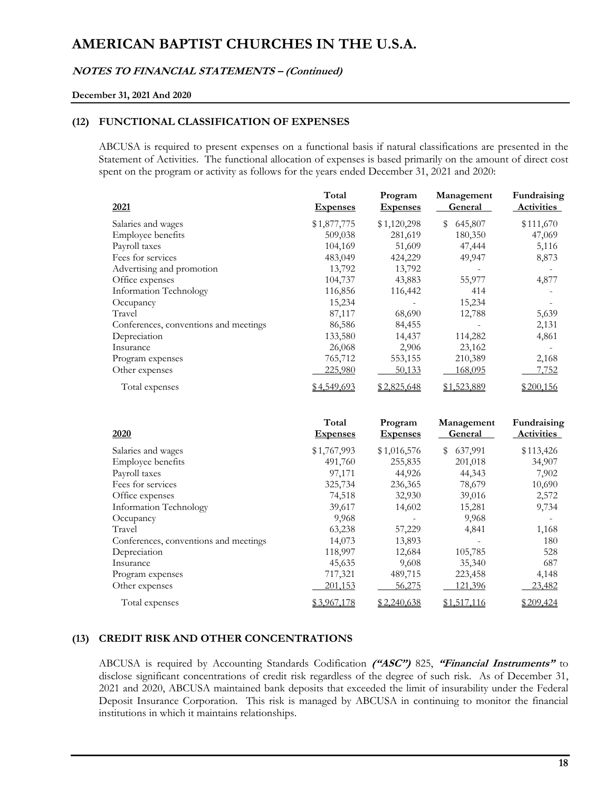### **NOTES TO FINANCIAL STATEMENTS – (Continued)**

#### **December 31, 2021 And 2020**

### **(12) FUNCTIONAL CLASSIFICATION OF EXPENSES**

ABCUSA is required to present expenses on a functional basis if natural classifications are presented in the Statement of Activities. The functional allocation of expenses is based primarily on the amount of direct cost spent on the program or activity as follows for the years ended December 31, 2021 and 2020:

| 2021                                  | Total<br><b>Expenses</b> | Program<br><b>Expenses</b> | Management<br>General | Fundraising<br><b>Activities</b> |
|---------------------------------------|--------------------------|----------------------------|-----------------------|----------------------------------|
| Salaries and wages                    | \$1,877,775              | \$1,120,298                | 645,807<br>\$         | \$111,670                        |
| Employee benefits                     | 509,038                  | 281,619                    | 180,350               | 47,069                           |
| Payroll taxes                         | 104,169                  | 51,609                     | 47,444                | 5,116                            |
| Fees for services                     | 483,049                  | 424,229                    | 49,947                | 8,873                            |
| Advertising and promotion             | 13,792                   | 13,792                     |                       |                                  |
| Office expenses                       | 104,737                  | 43,883                     | 55,977                | 4,877                            |
| Information Technology                | 116,856                  | 116,442                    | 414                   |                                  |
| Occupancy                             | 15,234                   |                            | 15,234                |                                  |
| Travel                                | 87,117                   | 68,690                     | 12,788                | 5,639                            |
| Conferences, conventions and meetings | 86,586                   | 84,455                     |                       | 2,131                            |
| Depreciation                          | 133,580                  | 14,437                     | 114,282               | 4,861                            |
| Insurance                             | 26,068                   | 2,906                      | 23,162                |                                  |
| Program expenses                      | 765,712                  | 553,155                    | 210,389               | 2,168                            |
| Other expenses                        | 225,980                  | 50,133                     | 168,095               | <u>7.752</u>                     |
| Total expenses                        | \$4,549,693              | \$2,825,648                | \$1,523,889           | \$200,156                        |

| 2020                                  | Total<br><b>Expenses</b> | Program<br><b>Expenses</b> | Management<br>General | Fundraising<br><b>Activities</b> |
|---------------------------------------|--------------------------|----------------------------|-----------------------|----------------------------------|
| Salaries and wages                    | \$1,767,993              | \$1,016,576                | 637,991<br>S          | \$113,426                        |
| Employee benefits                     | 491,760                  | 255,835                    | 201,018               | 34,907                           |
| Payroll taxes                         | 97,171                   | 44,926                     | 44,343                | 7,902                            |
| Fees for services                     | 325,734                  | 236,365                    | 78,679                | 10,690                           |
| Office expenses                       | 74,518                   | 32,930                     | 39,016                | 2,572                            |
| Information Technology                | 39,617                   | 14,602                     | 15,281                | 9,734                            |
| Occupancy                             | 9,968                    |                            | 9,968                 | $\overline{\phantom{a}}$         |
| Travel                                | 63,238                   | 57,229                     | 4,841                 | 1,168                            |
| Conferences, conventions and meetings | 14,073                   | 13,893                     |                       | 180                              |
| Depreciation                          | 118,997                  | 12,684                     | 105,785               | 528                              |
| Insurance                             | 45,635                   | 9,608                      | 35,340                | 687                              |
| Program expenses                      | 717,321                  | 489,715                    | 223,458               | 4,148                            |
| Other expenses                        | 201,153                  | 56,275                     | 121,396               | 23,482                           |
| Total expenses                        | \$3,967,178              | \$2,240,638                | \$1,517,116           | \$209,424                        |

#### **(13) CREDIT RISK AND OTHER CONCENTRATIONS**

ABCUSA is required by Accounting Standards Codification **("ASC")** 825, **"Financial Instruments"** to disclose significant concentrations of credit risk regardless of the degree of such risk. As of December 31, 2021 and 2020, ABCUSA maintained bank deposits that exceeded the limit of insurability under the Federal Deposit Insurance Corporation. This risk is managed by ABCUSA in continuing to monitor the financial institutions in which it maintains relationships.